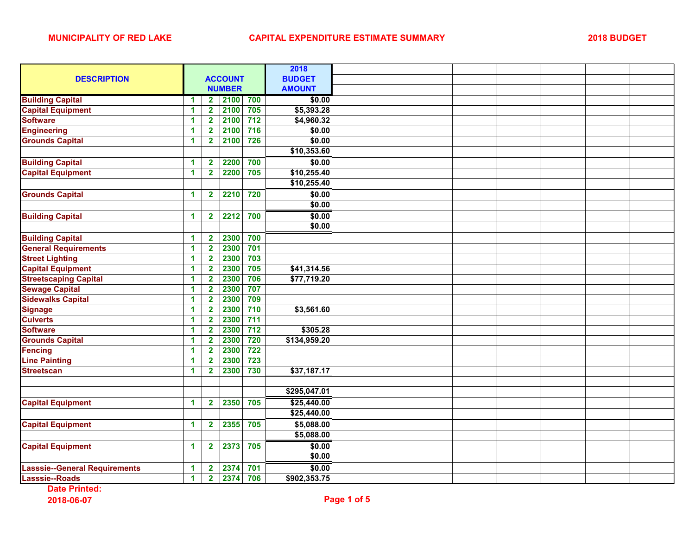|                                      |                      |                         |               |                  | 2018          |  |  |  |
|--------------------------------------|----------------------|-------------------------|---------------|------------------|---------------|--|--|--|
| <b>DESCRIPTION</b>                   | <b>ACCOUNT</b>       |                         |               |                  | <b>BUDGET</b> |  |  |  |
|                                      |                      |                         | <b>NUMBER</b> |                  | <b>AMOUNT</b> |  |  |  |
| <b>Building Capital</b>              | 1                    | $\mathbf{2}$            | 2100          | 700              | \$0.00        |  |  |  |
| <b>Capital Equipment</b>             | 1                    | $\overline{\mathbf{2}}$ | 2100          | 705              | \$5,393.28    |  |  |  |
| <b>Software</b>                      | 1                    | $\overline{2}$          | 2100          | $712$            | \$4,960.32    |  |  |  |
| <b>Engineering</b>                   | 1                    | $\overline{2}$          | 2100          | $\overline{716}$ | \$0.00        |  |  |  |
| <b>Grounds Capital</b>               | 1                    | $\overline{\mathbf{2}}$ | 2100          | 726              | \$0.00        |  |  |  |
|                                      |                      |                         |               |                  | \$10,353.60   |  |  |  |
| <b>Building Capital</b>              | 1                    | $\mathbf{2}$            | 2200          | 700              | \$0.00        |  |  |  |
| <b>Capital Equipment</b>             | 1                    | $\overline{2}$          | 2200          | 705              | \$10,255.40   |  |  |  |
|                                      |                      |                         |               |                  | \$10,255.40   |  |  |  |
| <b>Grounds Capital</b>               | 1                    | $\mathbf{2}$            | 2210          | 720              | \$0.00        |  |  |  |
|                                      |                      |                         |               |                  | \$0.00        |  |  |  |
| <b>Building Capital</b>              | 1                    | $\mathbf{2}$            | 2212          | 700              | \$0.00        |  |  |  |
|                                      |                      |                         |               |                  | \$0.00        |  |  |  |
| <b>Building Capital</b>              | 1                    | $\overline{\mathbf{2}}$ | 2300          | 700              |               |  |  |  |
| <b>General Requirements</b>          | 1                    | $\overline{\mathbf{2}}$ | 2300          | 701              |               |  |  |  |
| <b>Street Lighting</b>               | $\blacktriangleleft$ | $\overline{\mathbf{2}}$ | 2300          | 703              |               |  |  |  |
| <b>Capital Equipment</b>             | 1                    | $\overline{\mathbf{2}}$ | 2300          | 705              | \$41,314.56   |  |  |  |
| <b>Streetscaping Capital</b>         | $\mathbf{1}$         | $\overline{2}$          | 2300          | 706              | \$77,719.20   |  |  |  |
| <b>Sewage Capital</b>                | 1                    | $\overline{\mathbf{2}}$ | 2300          | 707              |               |  |  |  |
| <b>Sidewalks Capital</b>             | 1                    | $\overline{\mathbf{2}}$ | 2300          | 709              |               |  |  |  |
| <b>Signage</b>                       | 1                    | $\overline{\mathbf{2}}$ | 2300          | 710              | \$3,561.60    |  |  |  |
| <b>Culverts</b>                      | 1                    | $\overline{\mathbf{2}}$ | 2300          | 711              |               |  |  |  |
| <b>Software</b>                      | 1                    | $\overline{\mathbf{2}}$ | 2300          | 712              | \$305.28      |  |  |  |
| <b>Grounds Capital</b>               | 1                    | $\overline{\mathbf{2}}$ | 2300          | 720              | \$134,959.20  |  |  |  |
| <b>Fencing</b>                       | 1                    | $\overline{\mathbf{2}}$ | 2300          | 722              |               |  |  |  |
| <b>Line Painting</b>                 | 1                    | $\overline{\mathbf{2}}$ | 2300          | 723              |               |  |  |  |
| <b>Streetscan</b>                    | 1                    | $\overline{\mathbf{2}}$ | 2300          | 730              | \$37,187.17   |  |  |  |
|                                      |                      |                         |               |                  |               |  |  |  |
|                                      |                      |                         |               |                  | \$295,047.01  |  |  |  |
| <b>Capital Equipment</b>             | $\blacktriangleleft$ | $\overline{\mathbf{2}}$ | 2350          | 705              | \$25,440.00   |  |  |  |
|                                      |                      |                         |               |                  | \$25,440.00   |  |  |  |
| <b>Capital Equipment</b>             | 1                    | $\mathbf{2}$            | 2355          | 705              | \$5,088.00    |  |  |  |
|                                      |                      |                         |               |                  | \$5,088.00    |  |  |  |
| <b>Capital Equipment</b>             | 1                    | $\mathbf{2}$            | 2373          | 705              | \$0.00        |  |  |  |
|                                      |                      |                         |               |                  | \$0.00        |  |  |  |
| <b>Lasssie--General Requirements</b> | 1                    | $\overline{\mathbf{2}}$ | 2374          | 701              | \$0.00        |  |  |  |
| Lasssie--Roads                       | $\blacktriangleleft$ | $\overline{\mathbf{2}}$ | 2374          | 706              | \$902,353.75  |  |  |  |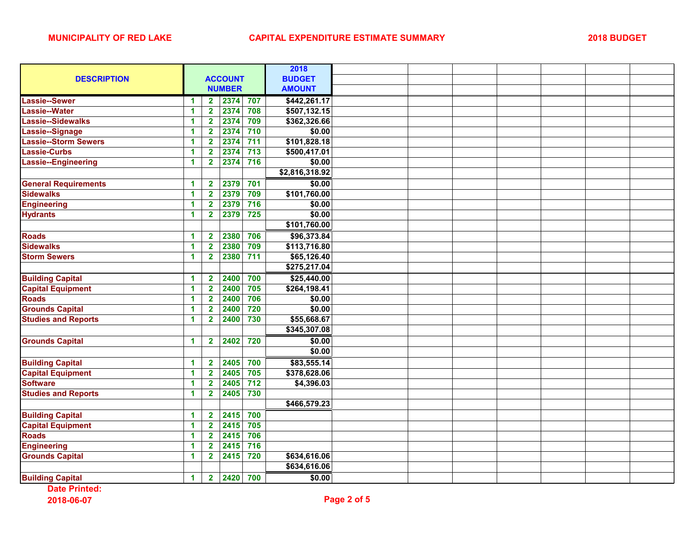|                             |                      |                                 |                  | 2018           |  |  |  |  |
|-----------------------------|----------------------|---------------------------------|------------------|----------------|--|--|--|--|
| <b>DESCRIPTION</b>          | <b>ACCOUNT</b>       |                                 |                  | <b>BUDGET</b>  |  |  |  |  |
|                             |                      | <b>NUMBER</b>                   |                  | <b>AMOUNT</b>  |  |  |  |  |
| <b>Lassie--Sewer</b>        | 1                    | 2374<br>2 <sup>7</sup>          | 707              | \$442,261.17   |  |  |  |  |
| Lassie--Water               | 1                    | 2374<br>$\overline{\mathbf{2}}$ | 708              | \$507,132.15   |  |  |  |  |
| Lassie--Sidewalks           | 1                    | $\overline{\mathbf{2}}$<br>2374 | 709              | \$362,326.66   |  |  |  |  |
| Lassie--Signage             | $\blacktriangleleft$ | $\overline{\mathbf{2}}$<br>2374 | 710              | \$0.00         |  |  |  |  |
| Lassie--Storm Sewers        | 1                    | $\overline{\mathbf{2}}$<br>2374 | $711$            | \$101,828.18   |  |  |  |  |
| <b>Lassie-Curbs</b>         | 1                    | $\overline{\mathbf{2}}$<br>2374 | 713              | \$500,417.01   |  |  |  |  |
| Lassie--Engineering         | 1                    | $\overline{\mathbf{2}}$<br>2374 | 716              | \$0.00         |  |  |  |  |
|                             |                      |                                 |                  | \$2,816,318.92 |  |  |  |  |
| <b>General Requirements</b> | 1                    | $\overline{\mathbf{2}}$<br>2379 | 701              | \$0.00         |  |  |  |  |
| <b>Sidewalks</b>            | 1                    | 2379<br>$\overline{\mathbf{2}}$ | 709              | \$101,760.00   |  |  |  |  |
| <b>Engineering</b>          | 1                    | $\overline{\mathbf{2}}$<br>2379 | 716              | \$0.00         |  |  |  |  |
| <b>Hydrants</b>             | 1                    | 2379<br>$\overline{\mathbf{2}}$ | $725$            | \$0.00         |  |  |  |  |
|                             |                      |                                 |                  | \$101,760.00   |  |  |  |  |
| <b>Roads</b>                | 1                    | $\overline{\mathbf{2}}$<br>2380 | 706              | \$96,373.84    |  |  |  |  |
| <b>Sidewalks</b>            | $\blacktriangleleft$ | $\overline{2}$<br>2380          | 709              | \$113,716.80   |  |  |  |  |
| <b>Storm Sewers</b>         | $\blacktriangleleft$ | 2380<br>$\overline{\mathbf{2}}$ | 711              | \$65,126.40    |  |  |  |  |
|                             |                      |                                 |                  | \$275,217.04   |  |  |  |  |
| <b>Building Capital</b>     | 1                    | 2400<br>$\overline{\mathbf{2}}$ | 700              | \$25,440.00    |  |  |  |  |
| <b>Capital Equipment</b>    | $\mathbf{1}$         | $\overline{\mathbf{2}}$<br>2400 | 705              | \$264,198.41   |  |  |  |  |
| <b>Roads</b>                | 1                    | $\overline{\mathbf{2}}$<br>2400 | 706              | \$0.00         |  |  |  |  |
| <b>Grounds Capital</b>      | 1                    | $\overline{\mathbf{2}}$<br>2400 | 720              | \$0.00         |  |  |  |  |
| <b>Studies and Reports</b>  | 1                    | 2400<br>$\overline{2}$          | 730              | \$55,668.67    |  |  |  |  |
|                             |                      |                                 |                  | \$345,307.08   |  |  |  |  |
| <b>Grounds Capital</b>      | 1                    | 2402<br>$\mathbf{2}$            | 720              | \$0.00         |  |  |  |  |
|                             |                      |                                 |                  | \$0.00         |  |  |  |  |
| <b>Building Capital</b>     | 1                    | $\overline{\mathbf{2}}$<br>2405 | 700              | \$83,555.14    |  |  |  |  |
| <b>Capital Equipment</b>    | 1                    | $\mathbf{2}$<br>2405            | 705              | \$378,628.06   |  |  |  |  |
| <b>Software</b>             | 1                    | 2405<br>$\overline{\mathbf{2}}$ | $\overline{712}$ | \$4,396.03     |  |  |  |  |
| <b>Studies and Reports</b>  | 1                    | $\overline{\mathbf{2}}$<br>2405 | 730              |                |  |  |  |  |
|                             |                      |                                 |                  | \$466,579.23   |  |  |  |  |
| <b>Building Capital</b>     | 1                    | 2415<br>$\overline{\mathbf{2}}$ | 700              |                |  |  |  |  |
| <b>Capital Equipment</b>    | 1                    | $\overline{2}$<br>2415          | 705              |                |  |  |  |  |
| <b>Roads</b>                | $\blacktriangleleft$ | $\overline{\mathbf{2}}$<br>2415 | 706              |                |  |  |  |  |
| <b>Engineering</b>          | 1                    | $\overline{\mathbf{2}}$<br>2415 | $716$            |                |  |  |  |  |
| <b>Grounds Capital</b>      | $\mathbf{1}$         | $\overline{\mathbf{2}}$<br>2415 | 720              | \$634,616.06   |  |  |  |  |
|                             |                      |                                 |                  | \$634,616.06   |  |  |  |  |
| <b>Building Capital</b>     | 1                    | 2420<br>2 <sub>1</sub>          | 700              | \$0.00         |  |  |  |  |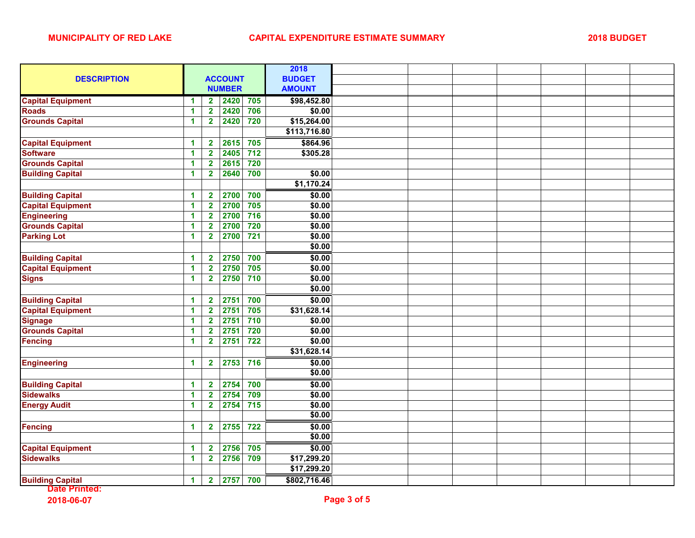|                          |                      |                         |               |       | 2018          |  |  |  |  |
|--------------------------|----------------------|-------------------------|---------------|-------|---------------|--|--|--|--|
| <b>DESCRIPTION</b>       | <b>ACCOUNT</b>       |                         |               |       | <b>BUDGET</b> |  |  |  |  |
|                          |                      |                         | <b>NUMBER</b> |       | <b>AMOUNT</b> |  |  |  |  |
| <b>Capital Equipment</b> | 1                    | $\mathbf{2}$            | 2420          | 705   | \$98,452.80   |  |  |  |  |
| <b>Roads</b>             | 1                    | $\overline{\mathbf{2}}$ | 2420          | 706   | \$0.00        |  |  |  |  |
| <b>Grounds Capital</b>   | $\blacktriangleleft$ | $\overline{2}$          | 2420          | 720   | \$15,264.00   |  |  |  |  |
|                          |                      |                         |               |       | \$113,716.80  |  |  |  |  |
| <b>Capital Equipment</b> | 1                    | $\overline{\mathbf{2}}$ | 2615          | 705   | \$864.96      |  |  |  |  |
| <b>Software</b>          | 1                    | $\overline{\mathbf{2}}$ | 2405          | $712$ | \$305.28      |  |  |  |  |
| <b>Grounds Capital</b>   | $\blacktriangleleft$ | $\overline{\mathbf{2}}$ | 2615          | 720   |               |  |  |  |  |
| <b>Building Capital</b>  | 1                    | $\overline{\mathbf{2}}$ | 2640          | 700   | \$0.00        |  |  |  |  |
|                          |                      |                         |               |       | \$1,170.24    |  |  |  |  |
| <b>Building Capital</b>  | 1                    | $\mathbf{2}$            | 2700          | 700   | \$0.00        |  |  |  |  |
| <b>Capital Equipment</b> | $\blacktriangleleft$ | $\overline{\mathbf{2}}$ | 2700          | 705   | \$0.00        |  |  |  |  |
| <b>Engineering</b>       | 1                    | $\mathbf{2}$            | 2700          | 716   | \$0.00        |  |  |  |  |
| <b>Grounds Capital</b>   | $\mathbf{1}$         | $\overline{\mathbf{2}}$ | 2700          | 720   | \$0.00        |  |  |  |  |
| <b>Parking Lot</b>       | $\blacktriangleleft$ | $\overline{2}$          | 2700          | $721$ | \$0.00        |  |  |  |  |
|                          |                      |                         |               |       | \$0.00        |  |  |  |  |
| <b>Building Capital</b>  | $\mathbf{1}$         | $\overline{\mathbf{2}}$ | 2750          | 700   | \$0.00        |  |  |  |  |
| <b>Capital Equipment</b> | $\mathbf{1}$         | $\overline{2}$          | 2750          | 705   | \$0.00        |  |  |  |  |
| <b>Signs</b>             | $\mathbf{1}$         | $\overline{2}$          | 2750          | 710   | \$0.00        |  |  |  |  |
|                          |                      |                         |               |       | \$0.00        |  |  |  |  |
| <b>Building Capital</b>  | 1                    | $\mathbf{2}$            | 2751          | 700   | \$0.00        |  |  |  |  |
| <b>Capital Equipment</b> | $\blacktriangleleft$ | $\overline{\mathbf{2}}$ | 2751          | 705   | \$31,628.14   |  |  |  |  |
| <b>Signage</b>           | 1                    | $\mathbf{2}$            | 2751          | 710   | \$0.00        |  |  |  |  |
| <b>Grounds Capital</b>   | 1                    | $\overline{\mathbf{2}}$ | 2751          | 720   | \$0.00        |  |  |  |  |
| <b>Fencing</b>           | $\mathbf 1$          | $\overline{\mathbf{2}}$ | 2751          | 722   | \$0.00        |  |  |  |  |
|                          |                      |                         |               |       | \$31,628.14   |  |  |  |  |
| <b>Engineering</b>       | 1                    | $\overline{\mathbf{2}}$ | 2753          | 716   | \$0.00        |  |  |  |  |
|                          |                      |                         |               |       | \$0.00        |  |  |  |  |
| <b>Building Capital</b>  | 1                    | $\mathbf{2}$            | 2754          | 700   | \$0.00        |  |  |  |  |
| <b>Sidewalks</b>         | 1                    | $\overline{2}$          | 2754          | 709   | \$0.00        |  |  |  |  |
| <b>Energy Audit</b>      | 1                    | $\overline{\mathbf{2}}$ | 2754          | 715   | \$0.00        |  |  |  |  |
|                          |                      |                         |               |       | \$0.00        |  |  |  |  |
| <b>Fencing</b>           | $\mathbf{1}$         | $\mathbf{2}$            | 2755          | 722   | \$0.00        |  |  |  |  |
|                          |                      |                         |               |       | \$0.00        |  |  |  |  |
| <b>Capital Equipment</b> | 1                    | $\mathbf{2}$            | 2756          | 705   | \$0.00        |  |  |  |  |
| <b>Sidewalks</b>         | 1                    | $\overline{2}$          | 2756          | 709   | \$17,299.20   |  |  |  |  |
|                          |                      |                         |               |       | \$17,299.20   |  |  |  |  |
| <b>Building Capital</b>  | 1                    | $\overline{\mathbf{2}}$ | 2757          | 700   | \$802,716.46  |  |  |  |  |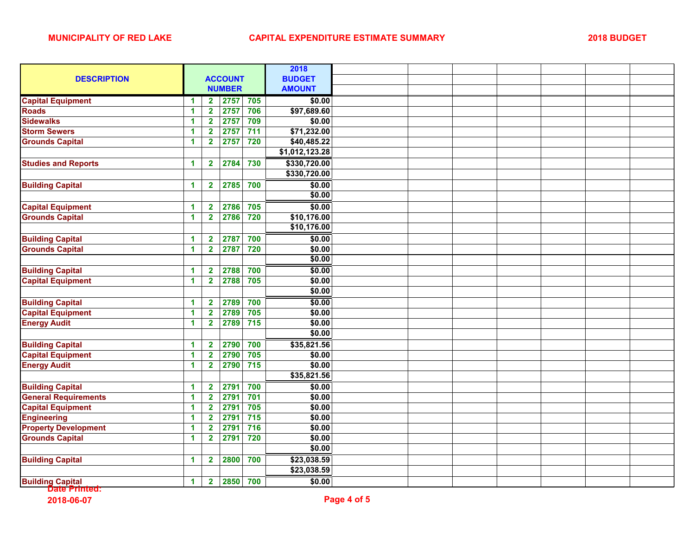| <b>DESCRIPTION</b>          | <b>ACCOUNT</b>       |                         |      |       | 2018           |  |  |  |  |
|-----------------------------|----------------------|-------------------------|------|-------|----------------|--|--|--|--|
|                             |                      |                         |      |       | <b>BUDGET</b>  |  |  |  |  |
|                             |                      | <b>NUMBER</b>           |      |       | <b>AMOUNT</b>  |  |  |  |  |
| <b>Capital Equipment</b>    | 1                    | $\overline{\mathbf{2}}$ | 2757 | 705   | \$0.00         |  |  |  |  |
| <b>Roads</b>                | 1                    | $\overline{\mathbf{2}}$ | 2757 | 706   | \$97,689.60    |  |  |  |  |
| <b>Sidewalks</b>            | $\mathbf{1}$         | $\overline{2}$          | 2757 | 709   | \$0.00         |  |  |  |  |
| <b>Storm Sewers</b>         | 1                    | $\overline{2}$          | 2757 | $711$ | \$71,232.00    |  |  |  |  |
| <b>Grounds Capital</b>      | 1                    | $\overline{\mathbf{2}}$ | 2757 | 720   | \$40,485.22    |  |  |  |  |
|                             |                      |                         |      |       | \$1,012,123.28 |  |  |  |  |
| <b>Studies and Reports</b>  | $\blacktriangleleft$ | $\mathbf{2}$            | 2784 | 730   | \$330,720.00   |  |  |  |  |
|                             |                      |                         |      |       | \$330,720.00   |  |  |  |  |
| <b>Building Capital</b>     | $\mathbf{1}$         | $\mathbf{2}$            | 2785 | 700   | \$0.00         |  |  |  |  |
|                             |                      |                         |      |       | \$0.00         |  |  |  |  |
| <b>Capital Equipment</b>    | 1                    | $\overline{\mathbf{2}}$ | 2786 | 705   | \$0.00         |  |  |  |  |
| <b>Grounds Capital</b>      | 1                    | $\overline{\mathbf{2}}$ | 2786 | 720   | \$10,176.00    |  |  |  |  |
|                             |                      |                         |      |       | \$10,176.00    |  |  |  |  |
| <b>Building Capital</b>     | 1                    | $\mathbf{2}$            | 2787 | 700   | \$0.00         |  |  |  |  |
| <b>Grounds Capital</b>      | $\blacktriangleleft$ | $\overline{2}$          | 2787 | 720   | \$0.00         |  |  |  |  |
|                             |                      |                         |      |       | \$0.00         |  |  |  |  |
| <b>Building Capital</b>     | 1                    | $\overline{\mathbf{2}}$ | 2788 | 700   | \$0.00         |  |  |  |  |
| <b>Capital Equipment</b>    | $\blacktriangleleft$ | $\overline{2}$          | 2788 | 705   | \$0.00         |  |  |  |  |
|                             |                      |                         |      |       | \$0.00         |  |  |  |  |
| <b>Building Capital</b>     | 1                    | $\overline{\mathbf{2}}$ | 2789 | 700   | \$0.00         |  |  |  |  |
| <b>Capital Equipment</b>    | 1                    | $\overline{\mathbf{2}}$ | 2789 | 705   | \$0.00         |  |  |  |  |
| <b>Energy Audit</b>         | 1                    | $\overline{\mathbf{2}}$ | 2789 | 715   | \$0.00         |  |  |  |  |
|                             |                      |                         |      |       | \$0.00         |  |  |  |  |
| <b>Building Capital</b>     | 1                    | $\mathbf{2}$            | 2790 | 700   | \$35,821.56    |  |  |  |  |
| <b>Capital Equipment</b>    | 1                    | $\overline{\mathbf{2}}$ | 2790 | 705   | \$0.00         |  |  |  |  |
| <b>Energy Audit</b>         | $\mathbf{1}$         | $\overline{\mathbf{2}}$ | 2790 | 715   | \$0.00         |  |  |  |  |
|                             |                      |                         |      |       | \$35,821.56    |  |  |  |  |
| <b>Building Capital</b>     | 1                    | $\overline{\mathbf{2}}$ | 2791 | 700   | \$0.00         |  |  |  |  |
| <b>General Requirements</b> | 1                    | $\mathbf{2}$            | 2791 | 701   | \$0.00         |  |  |  |  |
| <b>Capital Equipment</b>    | $\mathbf{1}$         | $\overline{2}$          | 2791 | 705   | \$0.00         |  |  |  |  |
| <b>Engineering</b>          | 1                    | $\overline{\mathbf{2}}$ | 2791 | 715   | \$0.00         |  |  |  |  |
| <b>Property Development</b> | $\blacktriangleleft$ | $\overline{\mathbf{2}}$ | 2791 | 716   | \$0.00         |  |  |  |  |
| <b>Grounds Capital</b>      | $\mathbf{1}$         | $\overline{\mathbf{2}}$ | 2791 | 720   | \$0.00         |  |  |  |  |
|                             |                      |                         |      |       | \$0.00         |  |  |  |  |
| <b>Building Capital</b>     | 1                    | $\mathbf{2}$            | 2800 | 700   | \$23,038.59    |  |  |  |  |
|                             |                      |                         |      |       | \$23,038.59    |  |  |  |  |
| <b>Building Capital</b>     | $\mathbf{1}$         | $\mathbf{2}$            | 2850 | 700   | \$0.00         |  |  |  |  |